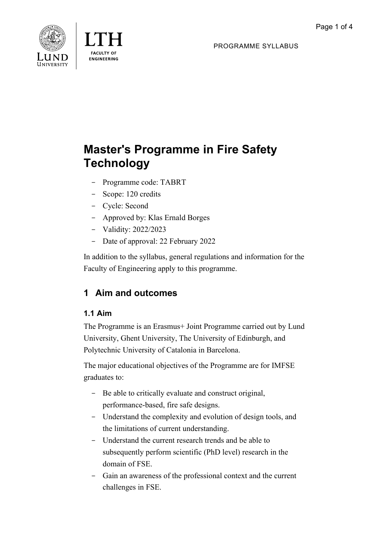

**FNGINFFRING** 

PROGRAMME SYLLABUS

# **Master's Programme in Fire Safety Technology**

- Programme code: TABRT
- Scope: 120 credits
- Cycle: Second
- Approved by: Klas Ernald Borges
- Validity: 2022/2023
- Date of approval: 22 February 2022

In addition to the syllabus, general regulations and information for the Faculty of Engineering apply to this programme.

# **1 Aim and outcomes**

# **1.1 Aim**

The Programme is an Erasmus+ Joint Programme carried out by Lund University, Ghent University, The University of Edinburgh, and Polytechnic University of Catalonia in Barcelona.

The major educational objectives of the Programme are for IMFSE graduates to:

- Be able to critically evaluate and construct original, performance-based, fire safe designs.
- Understand the complexity and evolution of design tools, and the limitations of current understanding.
- Understand the current research trends and be able to subsequently perform scientific (PhD level) research in the domain of FSE.
- Gain an awareness of the professional context and the current challenges in FSE.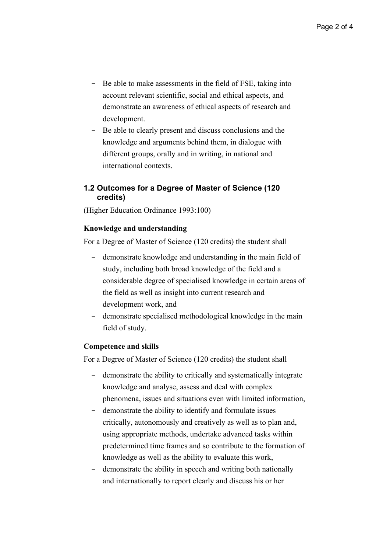- Be able to make assessments in the field of FSE, taking into account relevant scientific, social and ethical aspects, and demonstrate an awareness of ethical aspects of research and development.
- Be able to clearly present and discuss conclusions and the knowledge and arguments behind them, in dialogue with different groups, orally and in writing, in national and international contexts.

#### **1.2 Outcomes for a Degree of Master of Science (120 credits)**

(Higher Education Ordinance 1993:100)

#### **Knowledge and understanding**

For a Degree of Master of Science (120 credits) the student shall

- demonstrate knowledge and understanding in the main field of study, including both broad knowledge of the field and a considerable degree of specialised knowledge in certain areas of the field as well as insight into current research and development work, and
- demonstrate specialised methodological knowledge in the main field of study.

#### **Competence and skills**

For a Degree of Master of Science (120 credits) the student shall

- demonstrate the ability to critically and systematically integrate knowledge and analyse, assess and deal with complex phenomena, issues and situations even with limited information,
- demonstrate the ability to identify and formulate issues critically, autonomously and creatively as well as to plan and, using appropriate methods, undertake advanced tasks within predetermined time frames and so contribute to the formation of knowledge as well as the ability to evaluate this work,
- demonstrate the ability in speech and writing both nationally and internationally to report clearly and discuss his or her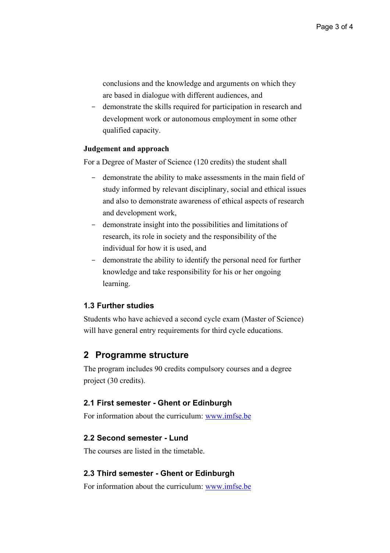conclusions and the knowledge and arguments on which they are based in dialogue with different audiences, and

- demonstrate the skills required for participation in research and development work or autonomous employment in some other qualified capacity.

#### **Judgement and approach**

For a Degree of Master of Science (120 credits) the student shall

- demonstrate the ability to make assessments in the main field of study informed by relevant disciplinary, social and ethical issues and also to demonstrate awareness of ethical aspects of research and development work,
- demonstrate insight into the possibilities and limitations of research, its role in society and the responsibility of the individual for how it is used, and
- demonstrate the ability to identify the personal need for further knowledge and take responsibility for his or her ongoing learning.

#### **1.3 Further studies**

Students who have achieved a second cycle exam (Master of Science) will have general entry requirements for third cycle educations.

### **2 Programme structure**

The program includes 90 credits compulsory courses and a degree project (30 credits).

#### **2.1 First semester - Ghent or Edinburgh**

For information about the curriculum: [www.imfse.be](http://www.imfse.be/)

#### **2.2 Second semester - Lund**

The courses are listed in the timetable.

#### **2.3 Third semester - Ghent or Edinburgh**

For information about the curriculum: [www.imfse.be](http://www.imfse.be/)